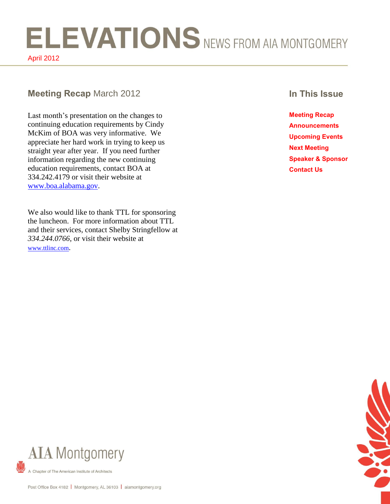# ELEVATIONS NEWS FROM AIA MONTGOMERY April 2012

### **Meeting Recap** March 2012 **In This Issue**

Last month's presentation on the changes to continuing education requirements by Cindy McKim of BOA was very informative. We appreciate her hard work in trying to keep us straight year after year. If you need further information regarding the new continuing education requirements, contact BOA at 334.242.4179 or visit their website at [www.boa.alabama.gov.](http://www.boa.alabama.gov/)

We also would like to thank TTL for sponsoring the luncheon. For more information about TTL and their services, contact Shelby Stringfellow at *334.244.0766*, or visit their website at [www.ttlinc.com](file:///C:/Documents%20and%20Settings/Andy/Desktop/MONTGOMERY%20AIA/ANDY%20SMITH%20SECRETARY%202012/NEWSLETTER%202012/03%20March/www.ttlinc.com).

**Meeting Recap Announcements Upcoming Events Next Meeting Speaker & Sponsor Contact Us**





Chapter of The American Institute of Architects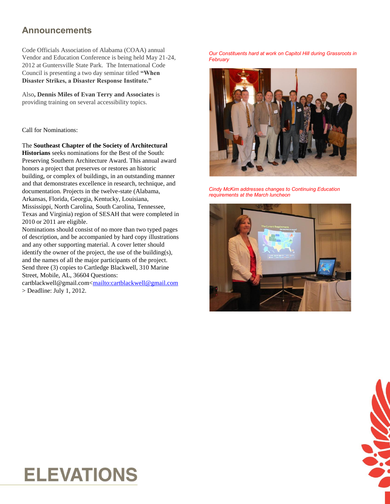### **Announcements**

Code Officials Association of Alabama (COAA) annual Vendor and Education Conference is being held May 21-24, 2012 at Guntersville State Park. The International Code Council is presenting a two day seminar titled **"When Disaster Strikes, a Disaster Response Institute."**

Also**, Dennis Miles of Evan Terry and Associates** is providing training on several accessibility topics.

Call for Nominations:

The **Southeast Chapter of the Society of Architectural** 

**Historians** seeks nominations for the Best of the South: Preserving Southern Architecture Award. This annual award honors a project that preserves or restores an historic building, or complex of buildings, in an outstanding manner and that demonstrates excellence in research, technique, and documentation. Projects in the twelve-state (Alabama, Arkansas, Florida, Georgia, Kentucky, Louisiana, Mississippi, North Carolina, South Carolina, Tennessee, Texas and Virginia) region of SESAH that were completed in 2010 or 2011 are eligible.

Nominations should consist of no more than two typed pages of description, and be accompanied by hard copy illustrations and any other supporting material. A cover letter should identify the owner of the project, the use of the building(s), and the names of all the major participants of the project. Send three (3) copies to Cartledge Blackwell, 310 Marine Street, Mobile, AL, 36604 Questions:

cartblackwell@gmail.com[<mailto:cartblackwell@gmail.com](mailto:cartblackwell@gmail.com) > Deadline: July 1, 2012.

*Our Constituents hard at work on Capitol Hill during Grassroots in February*



*Cindy McKim addresses changes to Continuing Education requirements at the March luncheon*





# **ELEVATIONS**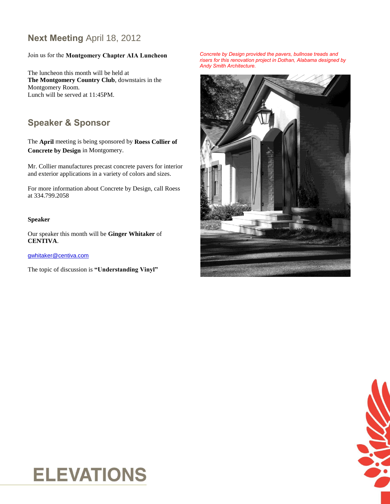# **Next Meeting** April 18, 2012

# Join us for the **Montgomery Chapter AIA Luncheon**

The luncheon this month will be held at **The Montgomery Country Club**, downstairs in the Montgomery Room. Lunch will be served at 11:45PM.

## **Speaker & Sponsor**

The **April** meeting is being sponsored by **Roess Collier of Concrete by Design** in Montgomery.

Mr. Collier manufactures precast concrete pavers for interior and exterior applications in a variety of colors and sizes.

For more information about Concrete by Design, call Roess at 334.799.2058

#### **Speaker**

Our speaker this month will be **Ginger Whitaker** of **CENTIVA**.

gwhitaker@centiva.com

The topic of discussion is **"Understanding Vinyl"**

*Concrete by Design provided the pavers, bullnose treads and risers for this renovation project in Dothan, Alabama designed by Andy Smith Architecture.*





# **ELEVATIONS**